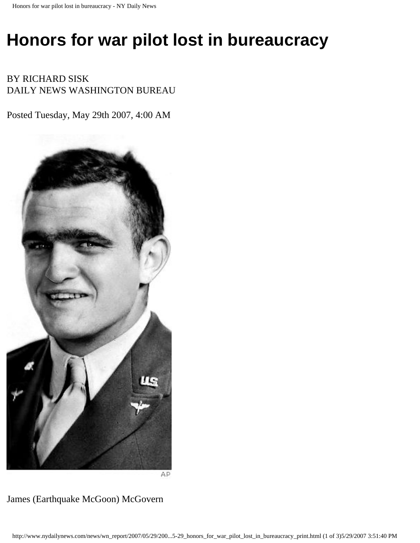## **Honors for war pilot lost in bureaucracy**

BY RICHARD SISK DAILY NEWS WASHINGTON BUREAU

Posted Tuesday, May 29th 2007, 4:00 AM



AP

James (Earthquake McGoon) McGovern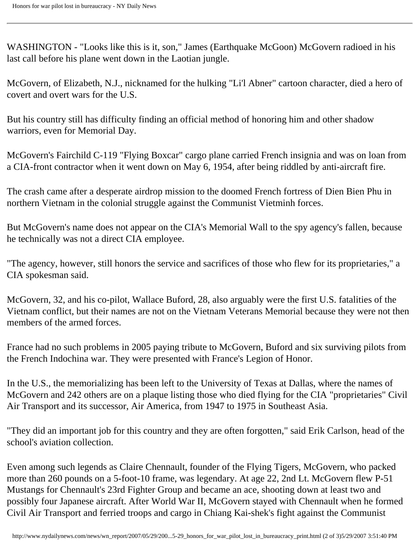WASHINGTON - "Looks like this is it, son," James (Earthquake McGoon) McGovern radioed in his last call before his plane went down in the Laotian jungle.

McGovern, of Elizabeth, N.J., nicknamed for the hulking "Li'l Abner" cartoon character, died a hero of covert and overt wars for the U.S.

But his country still has difficulty finding an official method of honoring him and other shadow warriors, even for Memorial Day.

McGovern's Fairchild C-119 "Flying Boxcar" cargo plane carried French insignia and was on loan from a CIA-front contractor when it went down on May 6, 1954, after being riddled by anti-aircraft fire.

The crash came after a desperate airdrop mission to the doomed French fortress of Dien Bien Phu in northern Vietnam in the colonial struggle against the Communist Vietminh forces.

But McGovern's name does not appear on the CIA's Memorial Wall to the spy agency's fallen, because he technically was not a direct CIA employee.

"The agency, however, still honors the service and sacrifices of those who flew for its proprietaries," a CIA spokesman said.

McGovern, 32, and his co-pilot, Wallace Buford, 28, also arguably were the first U.S. fatalities of the Vietnam conflict, but their names are not on the Vietnam Veterans Memorial because they were not then members of the armed forces.

France had no such problems in 2005 paying tribute to McGovern, Buford and six surviving pilots from the French Indochina war. They were presented with France's Legion of Honor.

In the U.S., the memorializing has been left to the University of Texas at Dallas, where the names of McGovern and 242 others are on a plaque listing those who died flying for the CIA "proprietaries" Civil Air Transport and its successor, Air America, from 1947 to 1975 in Southeast Asia.

"They did an important job for this country and they are often forgotten," said Erik Carlson, head of the school's aviation collection.

Even among such legends as Claire Chennault, founder of the Flying Tigers, McGovern, who packed more than 260 pounds on a 5-foot-10 frame, was legendary. At age 22, 2nd Lt. McGovern flew P-51 Mustangs for Chennault's 23rd Fighter Group and became an ace, shooting down at least two and possibly four Japanese aircraft. After World War II, McGovern stayed with Chennault when he formed Civil Air Transport and ferried troops and cargo in Chiang Kai-shek's fight against the Communist